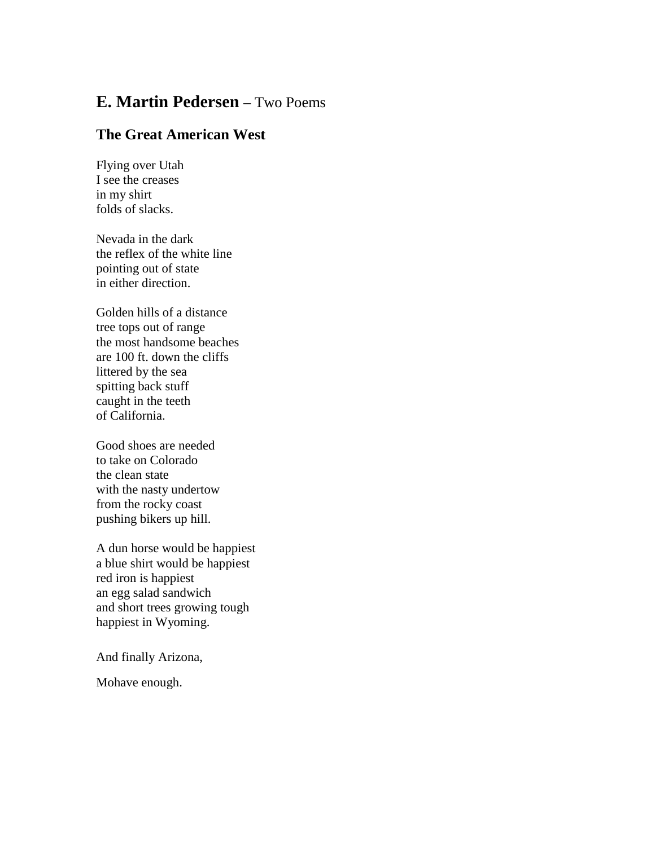## **E. Martin Pedersen** – Two Poems

## **The Great American West**

Flying over Utah I see the creases in my shirt folds of slacks.

Nevada in the dark the reflex of the white line pointing out of state in either direction.

Golden hills of a distance tree tops out of range the most handsome beaches are 100 ft. down the cliffs littered by the sea spitting back stuff caught in the teeth of California.

Good shoes are needed to take on Colorado the clean state with the nasty undertow from the rocky coast pushing bikers up hill.

A dun horse would be happiest a blue shirt would be happiest red iron is happiest an egg salad sandwich and short trees growing tough happiest in Wyoming.

And finally Arizona,

Mohave enough.